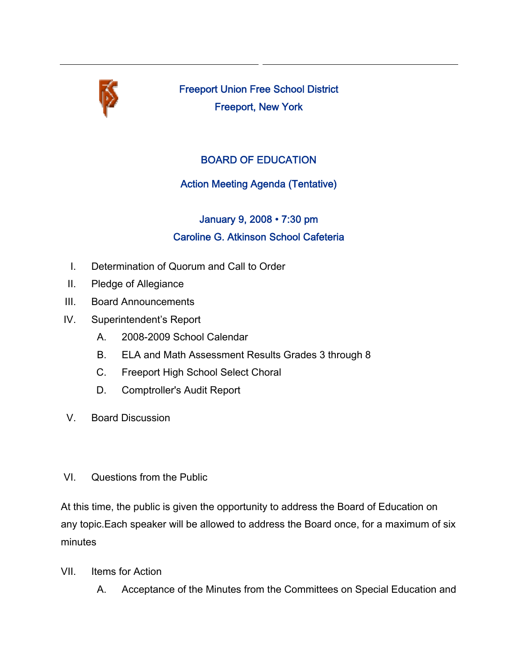

Freeport Union Free School District Freeport, New York

## BOARD OF EDUCATION

## Action Meeting Agenda (Tentative)

## January 9, 2008 • 7:30 pm Caroline G. Atkinson School Cafeteria

- I. Determination of Quorum and Call to Order
- II. Pledge of Allegiance
- III. Board Announcements
- IV. Superintendent's Report
	- A. 2008-2009 School Calendar
	- B. ELA and Math Assessment Results Grades 3 through 8
	- C. Freeport High School Select Choral
	- D. Comptroller's Audit Report
- V. Board Discussion
- VI. Questions from the Public

At this time, the public is given the opportunity to address the Board of Education on any topic.Each speaker will be allowed to address the Board once, for a maximum of six minutes

- VII. Items for Action
	- A. Acceptance of the Minutes from the Committees on Special Education and